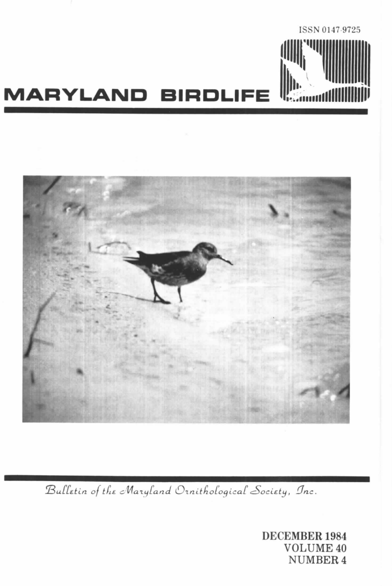



Bulletin of the Maryland Ornithological Society, Inc.

**DECEMBER 1984 VOLUME 40 NUMBER 4**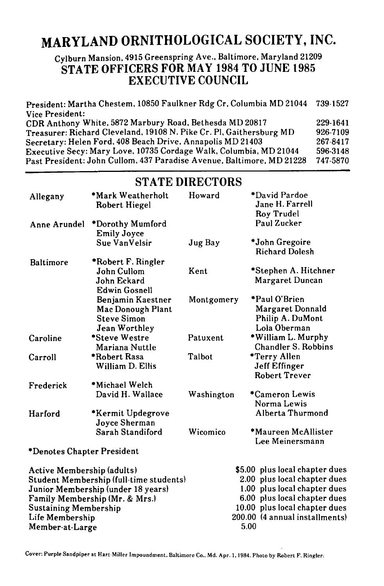# **MARYLAND ORNITHOLOGICAL SOCIETY, INC.**

### Cylburn Mansion, 4915 Greenspring Ave., Baltimore, Maryland 21209 **STATE OFFICERS FOR MAY 1984 TO JUNE 1985 EXECUTIVE COUNCIL**

President: Martha Chestem, 10850 Faulkner Rdg Cr, Columbia MD 21044 Vice President: CDR Anthony White, 5872 Marbury Road, Bethesda MD 20817 Treasurer: Richard Cleveland. 19108 N. Pike Cr. PI, Gaithersburg MD Secretary: Helen Ford. 408 Beach Drive, Annapolis MD 21403 Executive Secy: Mary Love, 10735 Cordage Walk, Columbia, MD 21044 Past President: John Cullom, 437 Paradise Avenue, Baltimore, MD 21228 739-1527 229-1641 926-7109 267-8417 596-3148 747-5870

| Allegany                           | *Mark Weatherholt<br>Robert Hiegel                                            | Howard     | *David Pardoe<br>Jane H. Farrell<br><b>Roy Trudel</b>                 |
|------------------------------------|-------------------------------------------------------------------------------|------------|-----------------------------------------------------------------------|
| Anne Arundel                       | *Dorothy Mumford<br><b>Emily Joyce</b>                                        |            | Paul Zucker                                                           |
|                                    | Sue VanVelsir                                                                 | Jug Bay    | *John Gregoire<br><b>Richard Dolesh</b>                               |
| Baltimore                          | *Robert F. Ringler                                                            |            |                                                                       |
|                                    | John Cullom<br>John Eckard<br><b>Edwin Gosnell</b>                            | Kent       | *Stephen A. Hitchner<br>Margaret Duncan                               |
|                                    | Benjamin Kaestner<br>Mac Donough Plant<br><b>Steve Simon</b><br>Jean Worthley | Montgomery | *Paul O'Brien<br>Margaret Donnald<br>Philip A. DuMont<br>Lola Oberman |
| Caroline                           | *Steve Westre<br>Mariana Nuttle                                               | Patuxent   | *William L. Murphy<br>Chandler S. Robbins                             |
| Carroll                            | *Robert Rasa<br>William D. Ellis                                              | Talbot     | *Terry Allen<br>Jeff Effinger<br><b>Robert Trever</b>                 |
| Frederick                          | *Michael Welch                                                                |            |                                                                       |
|                                    | David H. Wallace                                                              | Washington | *Cameron Lewis<br>Norma Lewis                                         |
| Harford                            | *Kermit Updegrove<br>Joyce Sherman                                            |            | Alberta Thurmond                                                      |
|                                    | Sarah Standiford                                                              | Wicomico   | *Maureen McAllister<br>Lee Meinersmann                                |
| *Denotes Chapter President         |                                                                               |            |                                                                       |
| Active Membership (adults)         |                                                                               |            | \$5.00 plus local chapter dues                                        |
|                                    | Student Membership (full-time students)                                       |            | 2.00 plus local chapter dues                                          |
| Junior Membership (under 18 years) |                                                                               |            | 1.00 plus local chapter dues                                          |
|                                    | Family Membership (Mr. & Mrs.)                                                |            | 6.00 plus local chapter dues                                          |
| <b>Sustaining Membership</b>       |                                                                               |            | 10.00 plus local chapter dues                                         |
| Life Membership                    |                                                                               |            | 200.00 (4 annual installments)                                        |
| Member-at-Large                    |                                                                               |            | 5.00                                                                  |

### **STATE DIRECTORS**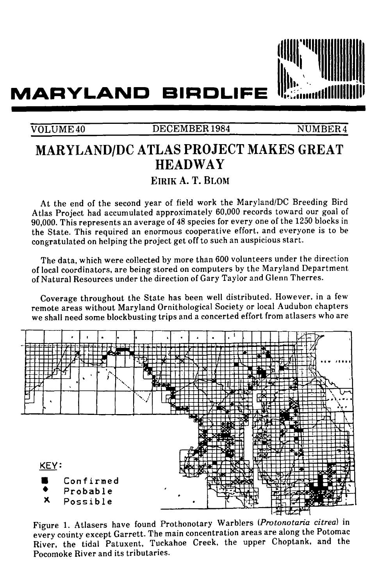

# **MARYLAND BIRDLIFE**

### VOLUME 40 DECEMBER 1984 NUMBER 4

# **MARYLAND/DC ATLAS PROJECT MAKES GREAT HEADWAY**

## **EIRIK A. T. BLOM**

At the end of the second year of field work the Maryland/DC Breeding Bird Atlas Project had accumulated approximately 60,000 records toward our goal of 90,000. This represents an average of 48 species for every one of the 1250 blocks in the State. This required an enormous cooperative effort, and everyone is to be congratulated on helping the project get off to such an auspicious start.

The data, which were collected by more than 600 volunteers under the direction of local coordinators, are being stored on computers by the Maryland Department of Natural Resources under the direction of Gary Taylor and Glenn Therres.

Coverage throughout the State has been well distributed. However, in a few remote areas without Maryland Ornithological Society or local Audubon chapters we shall need some blockbusting trips and a concerted effort from atlasers who are



Figure 1. Atlasers have found Prothonotary Warblers *(Protonotaria citrea)* in every county except Garrett. The main concentration areas are along the Potomac River, the tidal Patuxent, Tuckahoe Creek, the upper Choptank, and the Pocomoke River and its tributaries.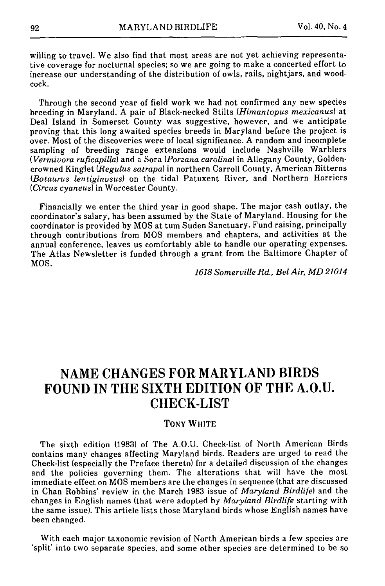willing to travel. We also find that most areas are not yet achieving representative coverage for nocturnal species; so we are going to make a concerted effort to increase our understanding of the distribution of owls, rails, nightjars, and woodcock.

Through the second year of field work we had not confirmed any new species breeding in Maryland. A pair of Black-necked Stilts *(Himantopus mexicanus)* at Deal Island in Somerset County was suggestive, however, and we anticipate proving that this long awaited species breeds in Maryland before the project is over. Most of the discoveries were of local significance. A random and incomplete sampling of breeding range extensions would include Nashville Warblers *(Vermivora rufieapilla)* and a Sora *(Porzana carolina)* in Allegany County, Goldencrowned Kinglet *(Regulus satrapa)* in northern Carroll County, American Bitterns *(Botaurus lentiginosus)* on the tidal Patuxent River, and Northern Harriers *(Circus cyaneus)* in Worcester County.

Financially we enter the third year in good shape. The major cash outlay, the coordinator's salary, has been assumed by the State of Maryland. Housing for the coordinator is provided by MOS at tum Suden Sanctuary. Fund raising, principally through contributions from MOS members and chapters, and activities at the annual conference, leaves us comfortably able to handle our operating expenses. The Atlas Newsletter is funded through a grant from the Baltimore Chapter of MOS.

*1618 Somerville Rd, Bel Air, MD 21014* 

## **NAME CHANGES FOR MARYLAND BIRDS FOUND IN THE SIXTH EDITION OF THE A.O.U. CHECK-LIST**

#### TONY **WHITE**

The sixth edition (1983) of The A.O.U. Check-list of North American Birds contains many changes affecting Maryland birds. Readers are urged to read the Check-list (especially the Preface thereto) for a detailed discussion of the changes and the policies governing them. The alterations that will have the most immediate effect on MOS members are the changes in sequence (that are discussed in Chan Robbins' review in the March 1983 issue of *Maryland Birdlife)* and the changes in English names (that were adopted by *Maryland Birdlife* starting with the same issue). This article lists those Maryland birds whose English names have been changed.

With each major taxonomic revision of North American birds a few species are 'split' into two separate species, and some other species are determined to be so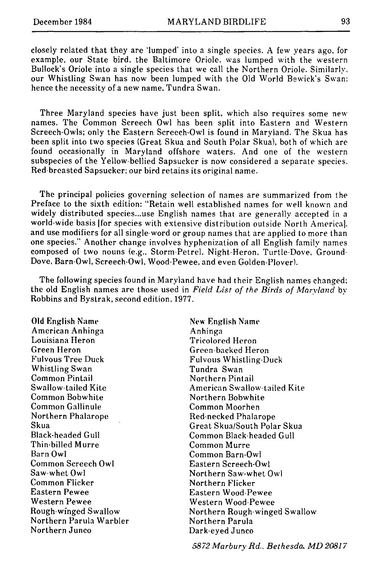closely related that they are 'lumped' into a single species. A few years ago, for example, our State bird, the Baltimore Oriole, was lumped with the western Bullock's Oriole into a single species that we call the Northern Oriole. Similarly. our Whistling Swan has now been lumped with the Old World Bewick's Swan; hence the necessity of a new name, Tundra Swan.

Three Maryland species have just been split, which also requires some new names. The Common Screech Owl has been split into Eastern and Western Screech-Owls; only the Eastern Screech-Owl is found in Maryland. The Skua has been split into two species (Great Skua and South Polar Skua), both of which are found occasionally in Maryland offshore waters. And one of the western subspecies of the Yellow-bellied Sapsucker is now considered a separate species. Red-breasted Sapsucker; our bird retains its original name.

The principal policies governing selection of names are summarized from the Preface to the sixth edition: "Retain well established names for well known and widely distributed species...use English names that are generally accepted in a world-wide basis [for species with extensive distribution outside North America]. and use modifiers for all single-word or group names that are applied to more than one species." Another change involves hyphenization of all English family names composed of two nouns (e.g., Storm-Petrel. Night-Heron, Turtle-Dove. Ground-Dove, Barn-Owl, Screech-Owl, Wood-Pewee, and even Golden-Plover).

The following species found in Maryland have had their English names changed: the old English names are those used in *Field List of the Birds of Marvland* by Robbins and Bystrak, second edition, 1977.

Old English Name American Anhinga Louisiana Heron Green Heron Fulvous Tree Duck Whistling Swan Common Pintail Swallow-tailed Kite Common Bobwhite Common Gallinule Northern Phalarope Skua Black-headed Gull Thin-billed Murre Barn Owl Common Screech Owl Saw-whet Owl Common Flicker Eastern Pewee Western Pewee Rough-wfnged Swallow Northern Parula Warbler Northern Junco

New English Name Anhinga Tricolored Heron Green-backed Heron Fulvous Whistling-Duck Tundra Swan Northern Pintail American Swallow-tailed Kite Northern Bobwhite Common Moorhen Red-necked Phalarope Great Skua/South Polar Skua Common Black-headed Gull Common Murre Common Barn-Owl Eastern Screech-Owl Northern Saw-whet Owl Northern Flicker Eastern Wood-Pewee Western Wood-Pewee Northern Rough-winged Swallow Northern Parula Dark-eyed Junco

*5872 Marbury Rd.. Bethesda, MD 20817*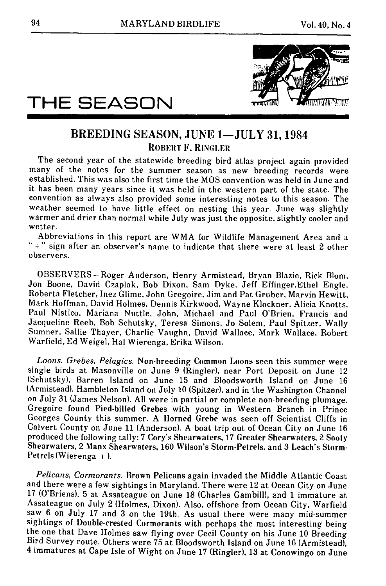

# **THE SEASON**

### BREEDING SEASON, **JUNE 1--JULY 31,** 1984 ROBERT F. RINGLER

The second year of the statewide breeding bird atlas project again provided many of the notes for the summer season as new breeding records were established. This was also the first time the MOS convention was held in June and it has been many years since it was held in the western part of the state. The convention as always also provided some interesting notes to this season. The weather seemed to have little effect on nesting this year. June was slightly warmer and drier than normal while July was just the opposite, slightly cooler and wetter.

Abbreviations in this report are WMA for Wildlife Management Area and a " + " sign after an observer's name to indicate that there were at least 2 other observers.

OBSERVERS-Roger Anderson, Henry Armistead, Bryan Blazie, Rick BIom, Jon Boone, David Czaplak, Bob Dixon, Sam Dyke, Jeff Effinger,Ethel Engle, Roberta Fletcher, Inez Glime, John Gregoire. Jim and Pat Gruber, Marvin Hewitt, Mark Hoffman, David Holmes, Dennis Kirkwood, Wayne Klockner, Alicia Knotts, Paul Nistico, Mariana Nuttle, John, Michael and Paul O'Brien, Francis and Jacqueline Reeb, Bob Schutsky, Teresa Simons, Jo Solem, Paul Spitzer, Wally Sumner, Sallie Thayer, Charlie Vaughn, David Wallace, Mark Wallace, Robert Warfield, Ed Weigel, Hal Wierenga, Erika Wilson.

*Loons. Grebes, Pelagics.* Non-breeding Common Loons seen this summer were single birds at Masonville on June 9 (Ringler), near Port Deposit on June 12 (Schutsky), Barren Island on June 15 and BIoodsworth Island on June 16 (Armistead), Hambleton Island on July 10 (Spitzer), and in the Washington Channel on July 31 (James Nelson). All were in partial or complete non-breeding plumage. Gregoire found Pied-billed Grebes with young in Western Branch in Prince Georges County this summer. A Horned Grebe was seen off Scientist Cliffs in Calvert County on June 11 (Anderson). A boat trip out of Ocean City on June 16 produced the following tally: 7 Cory's Shearwaters, 17 Greater Shearwaters. 2 Sooty Shearwaters, 2 Manx Shearwaters, 160 Wilson's Storm-Petrels. and 3 Leach's Storm-Petrels (Wierenga + ).

*Pelicans, Cormorants.* Brown Pelicans again invaded the Middle Atlantic Coast and there were a few sightings in Maryland. There were 12 at Ocean City on June 17 (O'Briens), 5 at Assateague on June 18 (Charles Gambill}, and 1 immature at Assateague on July 2 (Holmes, Dixon). Also, offshore from Ocean City, Warfield saw 6 on July 17 and 3 on the 19th. As usual there were many mid-summer sightings of Double-crested Cormorants with perhaps the most interesting being the one that Dave Holmes saw flying over Cecil County on his June 10 Breeding Bird Survey route. Others were 75 at Bloodsworth Island on June 16 (Armistead}, 4 immatures at Cape Isle of Wight on June 17 (Ringler), 13 at Conowingo on June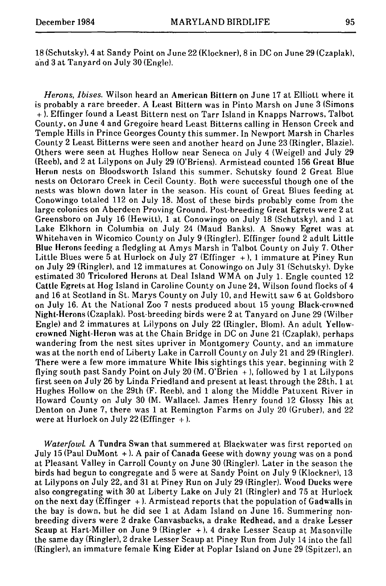*Herons, Ibises.* Wilson heard an American Bittern on June 17 at Elliott where it is probably a rare breeder. A Least Bittern was in Pinto Marsh on June 3 (Simons + ). Effinger found a Least Bittern nest on Tarr Island in Knapps Narrows, Talbot County, on June 4 and Gregoire heard Least Bitterns calling in Henson Creek and Temple Hills in Prince Georges County this summer. In Newport Marsh in Charles County 2 Least Bitterns were seen and another heard on June 23 (Ringler, Blazie). Others were seen at Hughes Hollow near Seneca on July 4 (Weigel) and July 29 (Reeb), and 2 at Lilypons on July 29 (O'Briens). Armistead counted 156 Great Blue Heron nests on Bloodsworth Island this summer. Schutsky found 2 Great Blue nests on Octoraro Creek in Cecil County. Both were successful though one of the nests was blown down later in the season. His count of Great Blues feeding at Conowingo totaled 112 on July 18. Most of these birds probably come from the large colonies on Aberdeen Proving Ground. Post-breeding Great Egrets were 2 at Greensboro on July 16 (Hewitt), 1 at Conowingo on July 18 (Schutsky), and 1 at Lake Elkhorn in Columbia on July 24 (Maud Banks). A Snowy Egret was at Whitehaven in Wicomico County on July 9 (Ringler). Effinger found 2 adult Little Blue tlerons feeding a fledgling at Amys Marsh in Talbot County on July 7. Other Little Blues were  $\bar{5}$  at Hurlock on July 27 (Effinger +), 1 immature at Piney Run on July 29 (Ringler), and 12 immatures at Conowingo on July 31 (Schutsky). Dyke estimated 30 Tricolored Herons at Deal Island WMA on July 1. Engle counted 12 Cattle Egrets at Hog Island in Caroline County on June 24, Wilson found flocks of 4 and 16 at Scotland in St. Marys County on July 10, and Hewitt saw 6 at Goldsboro on July 16. At the National Zoo 7 nests produced about 15 young Black-crowned Night-Herons (Czaplak). Post-breeding birds were 2 at Tanyard on June 29 (Wilber Engle) and 2 immatures at Lilypons on July 22 (Ringler, Blom). An adult Yellowcrowned Night-Heron was at the Chain Bridge in DC on June 21 (Czaplak), perhaps wandering from the nest sites upriver in Montgomery County, and an immature was at the north end of Liberty Lake in Carroll County on July 21 and 29 (Ringler}. There were a few more immature White Ibis sightings this year, beginning with 2 flying south past Sandy Point on July 20  $(M, O'Brien +)$ , followed by 1 at Lilypons first seen on July 26 by Linda Friedland and present at least through the 28th, 1 at Hughes Hollow on the 29th (F. Reeb), and 1 along the Middle Patuxent River in Howard County on July 30 (M. Wallace). James Henry found 12 Glossy Ibis at Denton on June 7, there was 1 at Remington Farms on July 20 {Gruber), and 22 were at Hurlock on July 22 (Effinger  $+$  ).

*Waterfowl* A Tundra Swan that summered at Blackwater was first reported on July 15 {Paul DuMont + ). A pair of Canada Geese with downy young was on a pond at Pleasant Valley in Carroll County on June 30 (Ringler). Later in the season the birds had begun to congregate and 5 were at Sandy Point on July 9 (Klockner), 13 at Lilypons on July 22, and 31 at Piney Run on July 29 {Ringler). Wood Ducks were also congregating with 30 at Liberty Lake on July 21 (Ringler) and 75 at Hurlock on the next day (Effinger  $+$ ). Armistead reports that the population of Gadwalls in the bay is down, but he did see 1 at Adam Island on June 16. Summering nonbreeding divers were 2 drake Canvasbacks, a drake Redhead, and a drake Lesser Scaup at Hart-Miller on June 9 (Ringler + ), 4 drake Lesser Scaup at Masonville the same day (Ringler), 2 drake Lesser Scaup at Piney Run from July 14 into the fall (Ringler), an immature female King Eider at Poplar Island on June 29 (Spitzer), an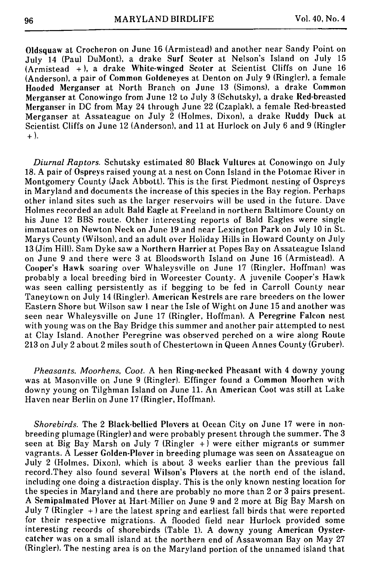OIdsquaw at Croeheron on June 16 (Armistead) and another near Sandy Point on July 14 (Paul DuMont), a drake Surf Scoter at Nelson's Island on July 15 (Armistead +), a drake White-winged Scoter at Scientist Cliffs on June 16 (Anderson), a pair of Common Goldeneyes at Denton on July 9 (Ringler), a female Hooded Merganser at North Branch on June 13 (Simons), a drake Common Merganser at Conowingo from June 12 to July 3 (Sehutsky), a drake Red-breasted Merganser in DC from May 24 through June 22 (Czaplak), a female Red-breasted Merganser at Assateague on July 2 (Holmes, Dixon), a drake Ruddy Duck at Scientist Cliffs on June 12 (Anderson), and 11 at Hurlock on July 6 and 9 (Ringler +).

*Diurnal Raptors.* Schutsky estimated 80 Black Vultures at Conowingo on July 18. A pair of Ospreys raised young at a nest on Conn Island in the Potomac River in Montgomery County (Jack Abbott). This is the first Piedmont nesting of Ospreys in Maryland and documents the increase of this species in the Bay region. Perhaps other inland sites such as the larger reservoirs will be used in the future. Dave Holmes recorded an adult Bald Eagle at Freeland in northern Baltimore County on his June 12 BBS route. Other interesting reports of Bald Eagles were single immatures on Newton Neck on June 19 and near Lexington Park on July 10 in St. Marys County (Wilson), and an adult over Holiday Hills in Howard County on July 13 (Jim Hill). Sam Dyke saw a Northern Harrier at Popes Bay on Assateague Island on June 9 and there were 3 at Bloodsworth Island on June 16 (Armistead). A Cooper's Hawk soaring over Whaleysville on June 17 (Ringler, Hoffman) was probably a local breeding bird in Worcester County. A juvenile Cooper's Hawk was seen calling persistently as if begging to be fed in Carroll County near Taneytown on July 14 (Ringler). American Kestrels are rare breeders on the lower Eastern Shore but Wilson saw 1 near the Isle of Wight on June 15 and another was seen near Whaleysville on June 17 (Ringler, Hoffman). A Peregrine Falcon nest with young was on the Bay Bridge this summer and another pair attempted to nest at Clay Island. Another Peregrine was observed perched on a wire along Route 213 on July 2 about 2 miles south of Chestertown in Queen Annes County (Gruber).

*Pheasants. Moorhens, Coot.* A hen Ring-necked Pheasant with 4 downy young was at Masonville on June 9 (Ringler). Effinger found a Common Moorhen with downy young on Tilghman Island on June 11. An American Coot was still at Lake Haven near Berlin on June 17 (Ringler, Hoffman).

*Shorebirds.* The 2 Black-bellied Plovers at Ocean City on June 17 were in nonbreeding plumage (Ringler) and were probably present through the summer. The 3 seen at Big Bay Marsh on July 7 (Ringler  $+$ ) were either migrants or summer vagrants. A Lesser Golden-Plover in breeding plumage was seen on Assateague on July 2 (Holmes, Dixon), which is about 3 weeks earlier than the previous fall record.They also found several Wilson's Plovers at the north end of the island, including one doing a distraction display. This is the only known nesting location for the species in Maryland and there are probably no more than 2 or 3 pairs present. A Semipalmated Plover at Hart-Miller on June 9 and 2 more at Big Bay Marsh on July 7 (Ringler  $+$ ) are the latest spring and earliest fall birds that were reported for their respective migrations. A flooded field near Hurtock provided some interesting records of shorebirds (Table 1). A downy young American Oystercatcher was on a small island at the northern end of Assawoman Bay on May 27 (Ringler). The nesting area is on the Maryland portion of the unnamed island that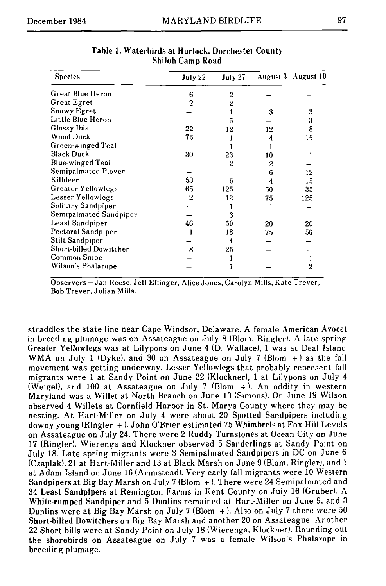| <b>Species</b>          | July 22 | July 27        |    | August 3 August 10 |
|-------------------------|---------|----------------|----|--------------------|
| Great Blue Heron        | 6       | $\overline{2}$ |    |                    |
| <b>Great Egret</b>      | 2       | 2              |    |                    |
| Snowy Egret             |         |                | 3  | 3                  |
| Little Blue Heron       |         | 5              |    | 3                  |
| Glossy Ibis             | 22      | 12             | 12 | 8                  |
| Wood Duck               | 75      |                | 4  | 15                 |
| Green-winged Teal       |         |                |    |                    |
| <b>Black Duck</b>       | 30      | 23             | 10 |                    |
| <b>Blue-winged Teal</b> |         | 2              | 2  |                    |
| Semipalmated Plover     |         |                | 6  | 12                 |
| Killdeer                | 53      | 6              | 4  | 15                 |
| Greater Yellowlegs      | 65      | 125            | 50 | 35                 |
| Lesser Yellowlegs       | 2       | 12             | 75 | 125                |
| Solitary Sandpiper      |         |                |    |                    |
| Semipalmated Sandpiper  |         | 3              |    |                    |
| Least Sandpiper         | 46      | 50             | 20 | 20                 |
| Pectoral Sandpiper      |         | 18             | 75 | 50                 |
| Stilt Sandpiper         |         | 4              |    |                    |
| Short-billed Dowitcher  | 8       | 25             |    |                    |
| Common Snipe            |         |                |    |                    |
| Wilson's Phalarope      |         |                |    | 2                  |

#### Table i. Waterbirds at Hurlock, Dorchester **County Shiloh Camp Road**

Observers-Jan Reese, Jeff Effinger, Alice Jones, Carolyn Mills, Kate Trever, Bob Trever, Julian Mills.

straddles the state line near Cape Windsor, Delaware. A female American Avocet in breeding plumage was on Assateague on July 8 (Blom, Ringler). A late spring Greater Yellowlegs was at Lilypons on June 4 (D. Wallace), 1 was at Deal Island WMA on July 1 (Dyke), and 30 on Assateague on July 7 (Blom  $+$ ) as the fall movement was getting underway. Lesser Yellowlegs that probably represent fall migrants were 1 at Sandy Point on June 22 (KIockner), 1 at Lilypons on July 4 (Weigel), and 100 at Assateague on July 7 (Blom +). An oddity in western Maryland was a Willet at North Branch on June 13 (Simons). On June 19 Wilson observed 4 Willets at Cornfield Harbor in St. Marys County where they may be nesting. At Hart-Miller on July 4 were about 20 Spotted Sandpipers including downy young (Ringler + ). John O'Brien estimated 75 Whimbrels at Fox Hill Levels **on** Assateague on July 24. There were 2 Ruddy Turnstones at Ocean City on June 17 (Ringler). Wierenga and Klockner observed 5 Sanderlings at Sandy Point on July 18. Late spring migrants were 3 Semipalmated Sandpipers in DC on June 6 (Czaplak), 21 at Hart-Miller and 13 at Black Marsh on June 9 (Blom, Ringler), and 1 at Adam Island on June 16 (Armistead). Very early fall migrants were 10 Western Sandpipers at Big Bay Marsh on July 7 (Blom + ). There were 24 Semipalmated and 34 Least Sandpipers at Remington Farms in Kent County on July 16 (Gruber). A White-rumped Sandpiper and 5 Dunlins remained at Hart-Miller on June 9, and 3 Dunlins were at Big Bay Marsh on July 7 (Blom + ). Also on July 7 there were 50 Short-billed Dowitchers on Big Bay Marsh and another 20 on Assateague. Another 22 Short-bills were at Sandy Point on July 18 (Wierenga, Klockner). Rounding out the shorebirds on Assateague on July 7 was a female Wilson's Phalarope in breeding plumage.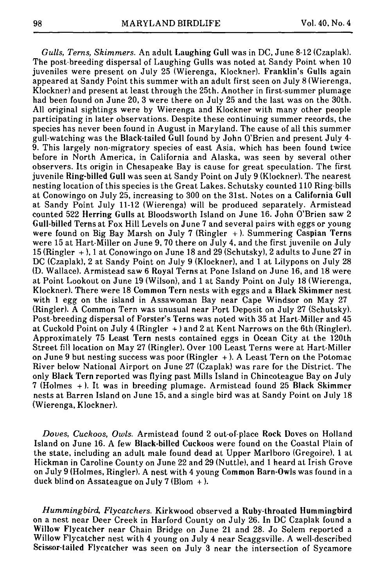*Gulls, Terns, Skimmers.* An adult Laughing Gull was in DC, June 8-12 (Czaplak}. The post-breeding dispersal of Laughing Gulls was noted at Sandy Point when 10 juveniles were present on July 25 (Wierenga, Klockner). Franklin's Gulls again appeared at Sandy Point this summer with an adult first seen on July 8 (Wierenga, Klockner} and present at least through the 25th. Another in first-summer plumage had been found on June 20, 3 were there on July 25 and the last was on the 30th. All original sightings were by Wierenga and Klockner with many other people participating in later observations. Despite these continuing summer records, the species has never been found in August in Maryland. The cause of all this summer gull-watching was the Black-tailed Gull found by John O'Brien and present July 4- 9. This largely non-migratory species of east Asia, which has been found twice before in North America, in California and Alaska, was seen by several other observers. Its origin in Chesapeake Bay is cause for great speculation. The first juvenile Ring-billed Gull was seen at Sandy Point on July 9 (Klockner). The nearest nesting location of this species is the Great Lakes. Schutsky counted 110 Ring-bills at Conowingo on July 25, increasing to 300 on the 31st. Notes on a California Gull at Sandy Point July 11-12 (Wierenga) will be produced separately. Armistead counted 522 Herring Gulls at BIoodsworth Island on June 16. John O'Brien saw 2 Gull-billed Terns at Fox Hill Levels on June 7 and several pairs with eggs or young were found on Big Bay Marsh on July 7 (Ringler  $+$ ). Summering Caspian Terns were 15 at Hart-Miller on June 9, 70 there on July 4, and the first juvenile on July 15 (Ringler + ), 1 at Conowingo on June 18 and 29 (Schutsky), 2 adults to June 27 in DC (Czaplak), 2 at Sandy Point on July 9 (Klockner), and 1 at Lilypons on July 28 (D. Wallace}. Armistead saw 6 Royal Terns at Pone Island on June 16, and 18 were at Point Lookout on June 19 (Wilson), and 1 at Sandy Point on July 18 (Wierenga, KIockner). There were 18 Common Tern nests with eggs and a Black Skimmer nest with 1 egg on the island in Assawoman Bay near Cape Windsor on May 27 (Ringlet). A Common Tern was unusual near Port Deposit on July 27 (Schutsky). Post-breeding dispersal of Forster's Terns was noted with 35 at Hart-Miller and 45 at Cuckold Point on July 4 (Ringler + ) and 2 at Kent Narrows on the 6th (Ringler}. Approximately 75 Least Tern nests contained eggs in Ocean City at the 120th Street fill location on May 27 (Ringlet). Over 100 Least Terns were at Hart-Miller on June 9 but nesting success was poor  $(Ringler +)$ . A Least Tern on the Potomac River below National Airport on June 27 (Czaplak) was rare for the District. The only Black Tern reported was flying past Mills Island in Chincoteague Bay on July 7 (Holmes + ). It was in breeding plumage. Armistead found 25 Black Skimmer nests at Barren Island on June 15, and a single bird was at Sandy Point on July 18 (Wierenga, Klockner).

*Doves, Cuckoos, Owls.* Armistead found 2 out-of-place Rock Doves on Holland Island on June 16. A few Black-billed Cuckoos were found on the Coastal Plain of the state, including an adult male found dead at Upper Marlboro (Gregoire), 1 at Hickman in Caroline County on June 22 and 29 (Nuttle), and 1 heard at Irish Grove on July 9 (Holmes, Ringler). A nest with 4 young Common Barn-Owls was found in a duck blind on Assateague on July 7 (Blom  $+$  ).

*Hummingbird, Flycatchers.* Kirkwood observed a Ruby-throated Hummingbird on a nest near Deer Creek in Harford County on July 26. In DC Czaplak found a Willow Flycalcher near Chain Bridge on June 21 and 28. Jo Solem reported a Willow Flycatcher nest with 4 young on July 4 near Scaggsville. A well-described Scissor-tailed Flycatcher was seen on July 3 near the intersection of Sycamore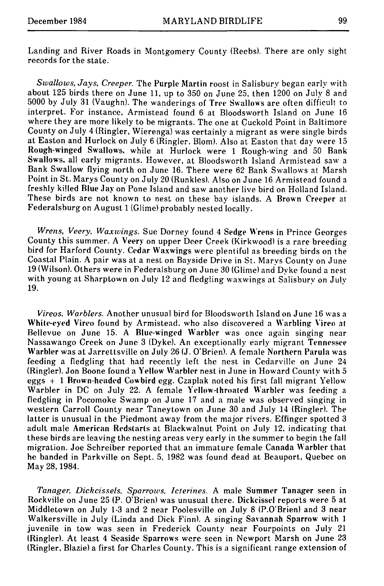Landing and River Roads in Montgomery County (Reebs). There are only sight records for the state.

*Swallows, Jays, Creeper.* The Purple Martin roost in Salisbury began early with about 125 birds there on June 11, up to 350 on June 25, then 1200 on July 8 and 5000 by July 31 (Vaughn). The wanderings of Tree Swallows are often difficult to interpret. For instance, Armistead found 6 at Bloodsworth Island on June 16 where they are more likely to be migrants. The one at Cuckold Point in Baltimore County on July 4 (Ringler, Wierenga) was certainly a migrant as were single birds at Easton and Hurlock on July 6 (Ringler, Blom). Also at Easton that day were 15 Rough-winged Swallows, while at Hurlock were 1 Rough-wing and 50 Bank Swallows, all early migrants. However, at Bloodsworth Island Armistead saw a Bank Swallow flying north on June 16. There were 62 Bank Swallows at Marsh Point in St. Marys County on July 20 (Runkles). Also on June 16 Armistead found a freshly killed Blue Jay on Pone Island and saw another live bird on Holland Island. These birds are not known to nest on these bay islands. A Brown Creeper at Federalsburg on August 1 (Glime) probably nested locally.

*Wrens, Veery, Waxwings.* Sue Dorney found 4 Sedge Wrens in Prince Georges County this summer. A Veery on upper Deer Creek (Kirkwood) is a rare breeding bird for Harford County. Cedar Waxwings were plentiful as breeding birds on the Coastal Plain. A pair was at a nest on Bayside Drive in St. Marvs County on June 19 (Wilson). Others were in Federalsburg on June 30 (Glime) and Dyke found a nest with young at Sharptown on July 12 and fledgling waxwings at Salisbury on July 19.

*Vireos. Warblers.* Another unusual bird for Bloodsworth Island on June 16 was a White-eyed Vireo found by Armistead. who also discovered a Warbling Vireo at Bellevue on June 15. A Blue-winged Warbler was once again singing near Nassawango Creek on June 3 (Dyke). An exceptionally early migrant Tennessee Warbler was at Jarrettsville on July 26 (J. O'Brien). A female Northern Parula was feeding a fledgling that had recently left the nest in Cedarville on June 24 (Ringler). Jon Boone found a Yellow Warbler nest in June in Howard County with 5 eggs + 1 Brown-headed Cowbird egg. Czaplak noted his first fall migrant Yellow Warbler in DC on July 22. A female Yellow-throated Warbler was feeding a fledgling in Pocomoke Swamp on June 17 and a male was observed singing in western Carroll County near Taneytown on June 30 and July 14 (Ringler). The latter is unusual in the Piedmont away from the major rivers. Effinger spotted 3 adult male American Redstarts at Blackwalnut Point on July 12, indicating that these birds are leaving the nesting areas very early in the summer to begin the fall migration. Joe Schreiber reported that an immature female Canada Warbler that he banded in Parkville on Sept. 5, 1982 was found dead at Beauport, Quebec on May 28, 1984.

*Tanager, Dickcissels, Sparrows, Icterines.* A male Summer Tanager seen in Rockville on June 25 (P. O'Brien) was unusual there. Dickcissel reports were 5 at Middletown on July 1-3 and 2 near Poolesville on July 8 {P.O'Brien) and 3 near Walkersville in July (Linda and Dick Finn). A singing Savannah Sparrow with 1 juvenile in tow was seen in Frederick County near Fourpoints on July 21 (Ringler). At least 4 Seaside Sparrows were seen in Newport Marsh on June 23 (Ringler, Blazie) a first for Charles County. This is a significant range extension of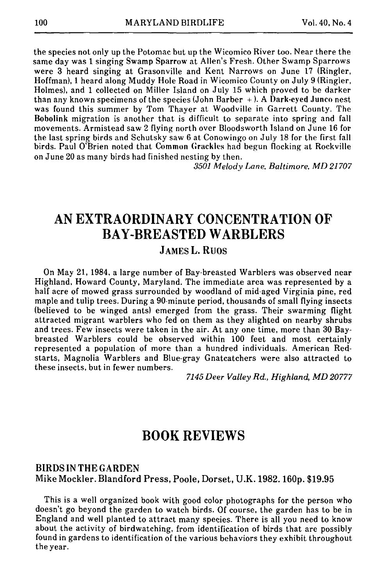the species not only up the Potomac but up the Wicomico River too. Near there the same day was 1 singing Swamp Sparrow at Allen's Fresh. Other Swamp Sparrows were 3 heard singing at Grasonville and Kent Narrows on June 17 (Ringler, Hoffman), 1 heard along Muddy Hole Road in Wicomico County on July 9 (Ringlet, Holmes), and 1 collected on Miller Island on July 15 which proved to be darker than any known specimens of the species (John Barber + ). A Dark-eyed Junco nest was found this summer by Tom Thayer at Woodville in Garrett County. The Bobolink migration is another that is difficult to separate into spring and fall movements. Armistead saw 2 flying north over BIoodsworth Island on June 16 for the last spring birds and Schutsky saw 6 at Conowingo on July 18 for the first fall birds. Paul O'Brien noted that Common Grackles had begun flocking at Rockville on June 20 as many birds had finished nesting by then.

*3501 Melody Lane, Baltimore, MD 21707* 

## **AN EXTRAORDINARY CONCENTRATION OF BAY-BREASTED WARBLERS**

### **JAMES L. RUOS**

On May 21, 1984, a large number of Bay-breasted Warblers was observed near Highland, Howard County, Maryland. The immediate area was represented by a half acre of mowed grass surrounded by woodland of mid-aged Virginia pine, red maple and tulip trees. During a 90-minute period, thousands of small flying insects (believed to be winged ants) emerged from the grass. Their swarming flight attracted migrant warblers who fed on them as they alighted on nearby shrubs and trees. Few insects were taken in the air. At any one time, more than 30 Baybreasted Warblers could be observed within 100 feet and most certainly represented a population of more than a hundred individuals. American Redstarts, Magnolia Warblers and Blue-gray Gnatcatchers were also attracted to these insects, but in fewer numbers.

*7145 Deer Valley Rd., Highland, MD 20777* 

## **BOOK REVIEWS**

#### BIRDS IN THE GARDEN Mike Mockler. Blandford Press, Poole, Dorset, U.K. 1982.160p. \$19.95

This is a well organized book with good color photographs for the person who doesn't go beyond the garden to watch birds. Of course, the garden has to be in England and well planted to attract many species. There is all you need to know about the activity of birdwatching, from identification of birds that are possibly found in gardens to identification of the various behaviors they exhibit throughout theyear.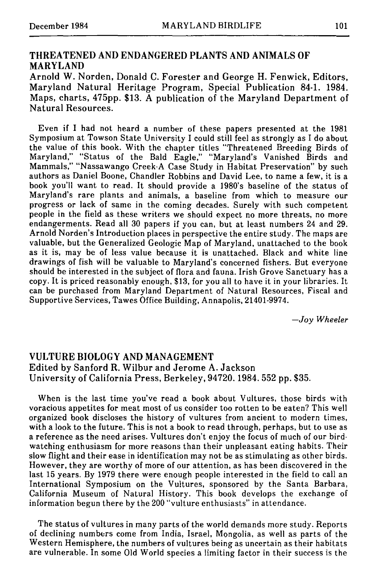### THREATENED AND ENDANGERED PLANTS AND ANIMALS OF MARYLAND

Arnold W. Norden, Donald C. Forester and George H. Fenwick, Editors, Maryland Natural Heritage Program, Special Publication 84-1. 1984. Maps, charts, 475pp. \$13. A publication of the Maryland Department of Natural Resources.

Even if I had not heard a number of these papers presented at the 1981 Symposium at Towson State University I could still feel as strongly as I do about the value of this book. With the chapter titles "Threatened Breeding Birds of Maryland," "Status of the Bald Eagle," "Maryland's Vanished Birds and Mammals," "Nassawango Creek-A Case Study in Habitat Preservation" by such authors as Daniel Boone, Chandler Robbins and David Lee, to name a few, it is a book you'll want to read. It should provide a 1980's baseline of the status of Maryland's rare plants and animals, a baseline from which to measure our progress or lack of same in the coming decades. Surely with such competent people in the field as these writers we should expect no more threats, no more endangerments. Read all 30 papers if you can, but at least numbers 24 and 29. Arnold Norden's Introduction places in perspective the entire study. The maps are valuable, but the Generalized Geologic Map of Maryland, unattached to the book as it is, may be of less value because it is unattached. Black and white line drawings of fish will be valuable to Maryland's concerned fishers. But everyone should be interested in the subject of flora and fauna. Irish Grove Sanctuary has a copy. It is priced reasonably enough, \$13, for you all to have it in your libraries. It can be purchased from Maryland Department of Natural Resources, Fiscal and Supportive Services, Tawes Office Building, Annapolis, 21401-9974.

*--Joy Wheeler* 

### VULTURE BIOLOGY AND MANAGEMENT Edited by Sanford R. Wilbur and Jerome A. Jackson University of California Press, Berkeley, 94720. 1984. 552 pp. \$35.

When is the last time you've read a book about Vultures, those birds with voracious appetites for meat most of us consider too rotten to be eaten? This well organized book discloses the history of vultures from ancient to modern times, with a look to the future. This is not a book to read through, perhaps, but to use as a reference as the need arises. Vultures don't enjoy the focus of much of our birdwatching enthusiasm for more reasons than their unpleasant eating habits. Their slow flight and their ease in identification may not be as stimulating as other birds. However, they are worthy of more of our attention, as has been discovered in the last 15 years. By 1979 there were enough people interested in the field to call an International Symposium on the Vultures, sponsored by the Santa Barbara, California Museum of Natural History. This book develops the exchange of information begun there by the 200 "vulture enthusiasts" in attendance.

The status of vultures in many parts of the world demands more study. Reports of declining numbers come from India, Israel, Mongolia, as well as parts of the Western Hemisphere, the numbers of vultures being as uncertain as their habitats are vulnerable. In some Old World species a limiting factor in their success is the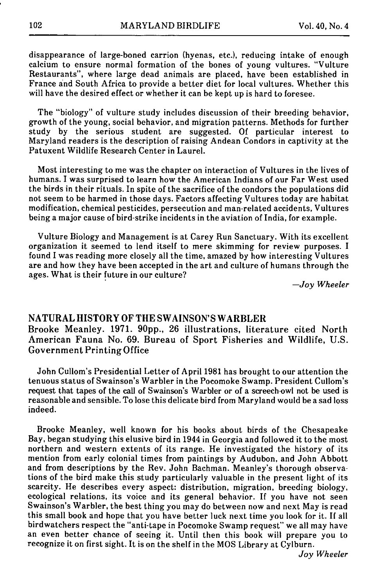disappearance of large-boned carrion (hyenas, etc.), reducing intake of enough calcium to ensure normal formation of the bones of young vultures. "Vulture Restaurants", where large dead animals are placed, have been established in France and South Africa to provide a better diet for local vultures. Whether this will have the desired effect or whether it can be kept up is hard to foresee.

The "biology" of vulture study includes discussion of their breeding behavior, growth of the young, social behavior, and migration patterns. Methods for further study by the serious student are suggested. Of particular interest to Maryland readers is the description of raising Andean Condors in captivity at the Patuxent Wildlife Research Center in Laurel.

Most interesting to me was the chapter on interaction of Vultures in the lives of humans. I was surprised to learn how the American Indians of our Far West used the birds in their rituals. In spite of the sacrifice of the condors the populations did not seem to be harmed in those days. Factors affecting Vultures today are habitat modification, chemical pesticides, persecution and man-related accidents, Vultures being a major cause of bird-strike incidents in the aviation of India, for example.

Vulture Biology and Management is at Carey Run Sanctuary. With its excellent organization it seemed to lend itself to mere skimming for review purposes. I found I was reading more closely all the time, amazed by how interesting Vultures are and how they have been accepted in the art and culture of humans through the ages. What is their future in our culture?

*--Joy Wheeler* 

#### NATURAL HISTORY OF THE SWAINSON'S WARBLER

Brooke Meanley. 1971. 90pp., 26 illustrations, literature cited North American Fauna No. 69. Bureau of Sport Fisheries and Wildlife, U.S. Government Printing Office

John Culiom's Presidential Letter of April 1981 has brought to our attention the tenuous status of Swainson's Warbler in the Pocomoke Swamp. President Cullom's request that tapes of the call of Swainson's Warbler or of a screech-owl not be used is reasonable and sensible. To lose this delicate bird from Maryland would be a sad loss indeed.

Brooke Meanley, well known for his books about birds of the Chesapeake Bay, began studying this elusive bird in 1944 in Georgia and followed it to the most northern and western extents of its range. He investigated the history of its mention from early colonial times from paintings by Audubon, and John Abbott and from descriptions by the Rev. John Bachman. Meanley's thorough observations of the bird make this study particularly valuable in the present light of its scarcity. He describes every aspect: distribution, migration, breeding biology, ecological relations, its voice and its general behavior. If you have not seen Swainson's Warbler, the best thing you may do between now and next May is read this small book and hope that you have better luck next time you look for it. If all birdwatchers respect the "anti-tape in Pocomoke Swamp request" we all may have an even better chance of seeing it. Until then this book will prepare you to recognize it on first sight. It is on the shelf in the MOS Library at Cylburn.

*Joy Wheeler*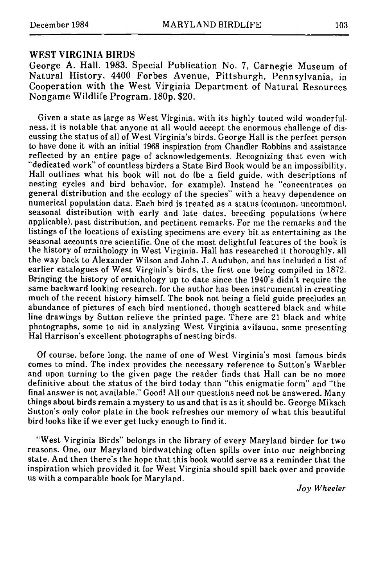#### WEST VIRGINIA BIRDS

George A. Hall. 1983. Special Publication No. 7, Carnegie Museum of Natural History, 4400 Forbes Avenue, Pittsburgh, Pennsylvania, in Cooperation with the West Virginia Department of Natural Resources Nongame Wildlife Program. 180p. \$20.

Given a state as large as West Virginia, with its highly touted wild wonderfulness, it is notable that anyone at all would accept the enormous challenge of discussing the status of all of West Virginia's birds. George Hall is the perfect person to have done it with an initial 1968 inspiration from Chandler Robbins and assistance reflected by an entire page of acknowledgements. Recognizing that even with "dedicated work" of countless birders a State Bird Book would be an impossibility. Hall outlines what his book will not do (be a field guide, with descriptions of nesting cycles and bird behavior, for example). Instead he "concentrates on general distribution and the ecology of the species" with a heavy dependence on numerical population data. Each bird is treated as a status (common, uncommon). seasonal distribution with early and late dates, breeding populations (where applicable), past distribution, and pertinent remarks. For me the remarks and the listings of the locations of existing specimens are every bit as entertaining as the seasonal accounts are scientific. One of the most delightful features of the book is the history of ornithology in West Virginia. Hall has researched it thoroughly, all the way back to Alexander Wilson and John J. Audubon, and has included a list of earlier catalogues of West Virginia's birds, the first one being compiled in 1872. Bringing the history of ornithology up to date since the 1940's didn't require the same backward looking research, for the author has been instrumental in creating much of the recent history himself. The book not being a field guide precludes an abundance of pictures of each bird mentioned, though scattered black and white line drawings by Sutton relieve the printed page. There are 21 black and white photographs, some to aid in analyzing West Virginia avifauna, some presenting Hal Harrison's excellent photographs of nesting birds.

Of course, before long, the name of one of West Virginia's most famous birds comes to mind. The index provides the necessary reference to Sutton's Warbler and upon turning to the given page the reader finds that Hall can be no more definitive about the status of the bird today than "this enigmatic form" and "the final answer is not available." Good! All our questions need not be answered. Many things about birds remain a mystery to us and that is as it should be. George Miksch Sutton's only color plate in the book refreshes our memory of what this beautiful bird looks like if we ever get lucky enough to find it..

"West Virginia Birds" belongs in the library of every Maryland birder for two reasons. One, our Maryland birdwatching often spills over into our neighboring state. And then there's the hope that this book would serve as a reminder that the inspiration which provided it for West Virginia should spill back over and provide us with a comparable book for Maryland.

*Joy Wheeler*